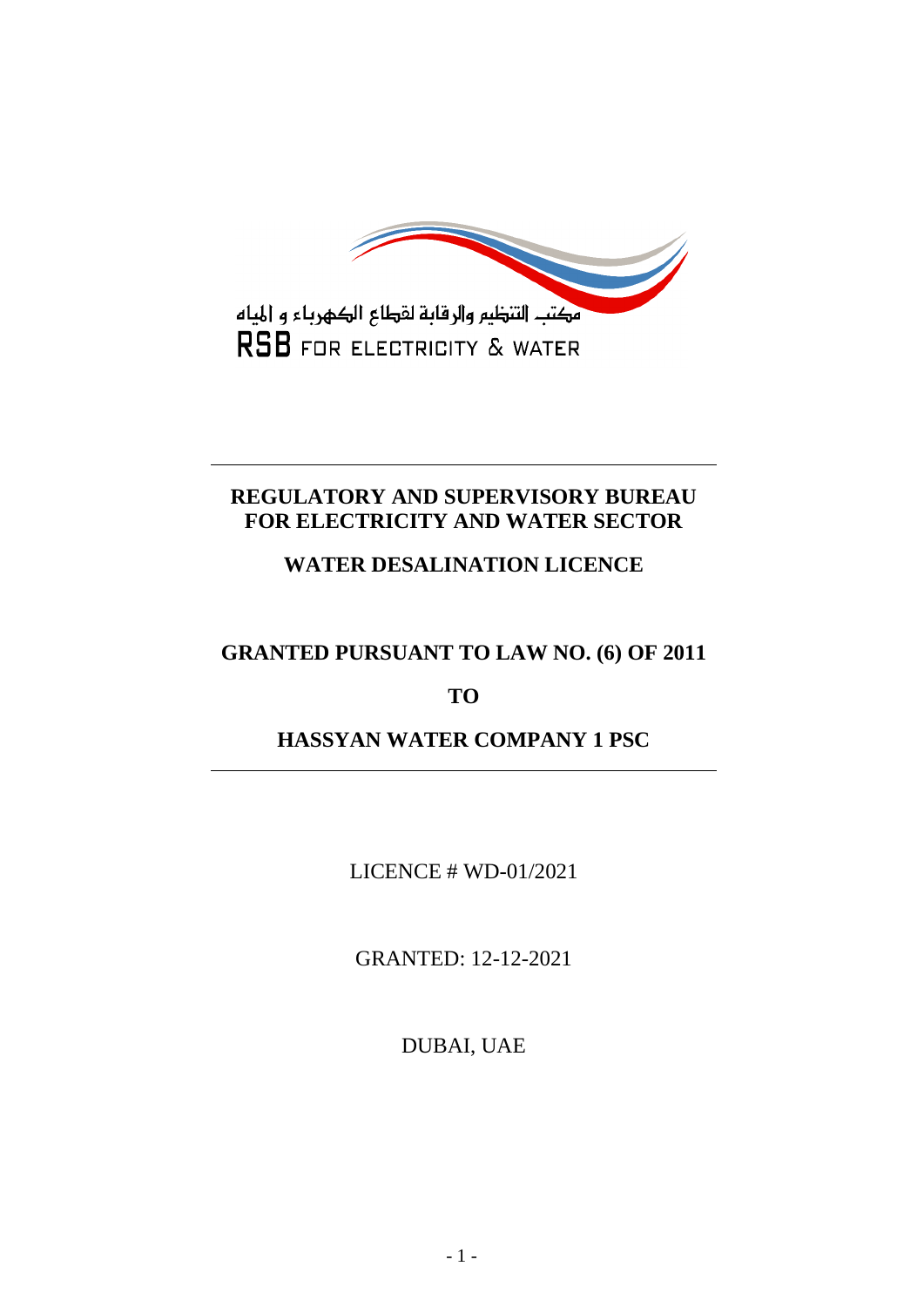

## **REGULATORY AND SUPERVISORY BUREAU FOR ELECTRICITY AND WATER SECTOR**

# **WATER DESALINATION LICENCE**

# **GRANTED PURSUANT TO LAW NO. (6) OF 2011**

# **TO**

# **HASSYAN WATER COMPANY 1 PSC**

LICENCE # WD-01/2021

GRANTED: 12-12-2021

DUBAI, UAE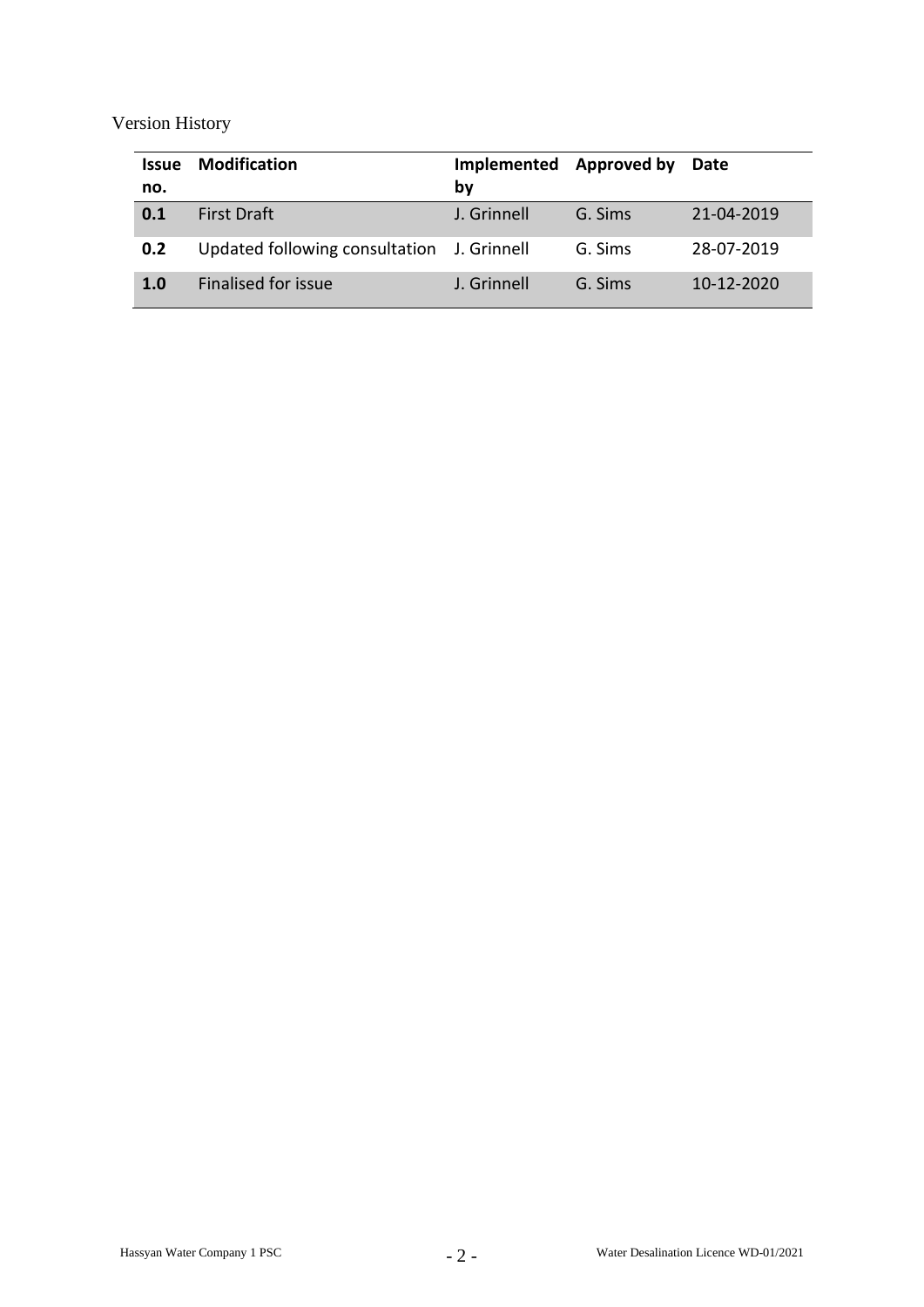Version History

| <b>Issue</b><br>no. | <b>Modification</b>                        | Implemented Approved by<br>by |         | Date             |
|---------------------|--------------------------------------------|-------------------------------|---------|------------------|
| 0.1                 | <b>First Draft</b>                         | J. Grinnell                   | G. Sims | 21-04-2019       |
| 0.2                 | Updated following consultation J. Grinnell |                               | G. Sims | 28-07-2019       |
| 1.0                 | Finalised for issue                        | J. Grinnell                   | G. Sims | $10 - 12 - 2020$ |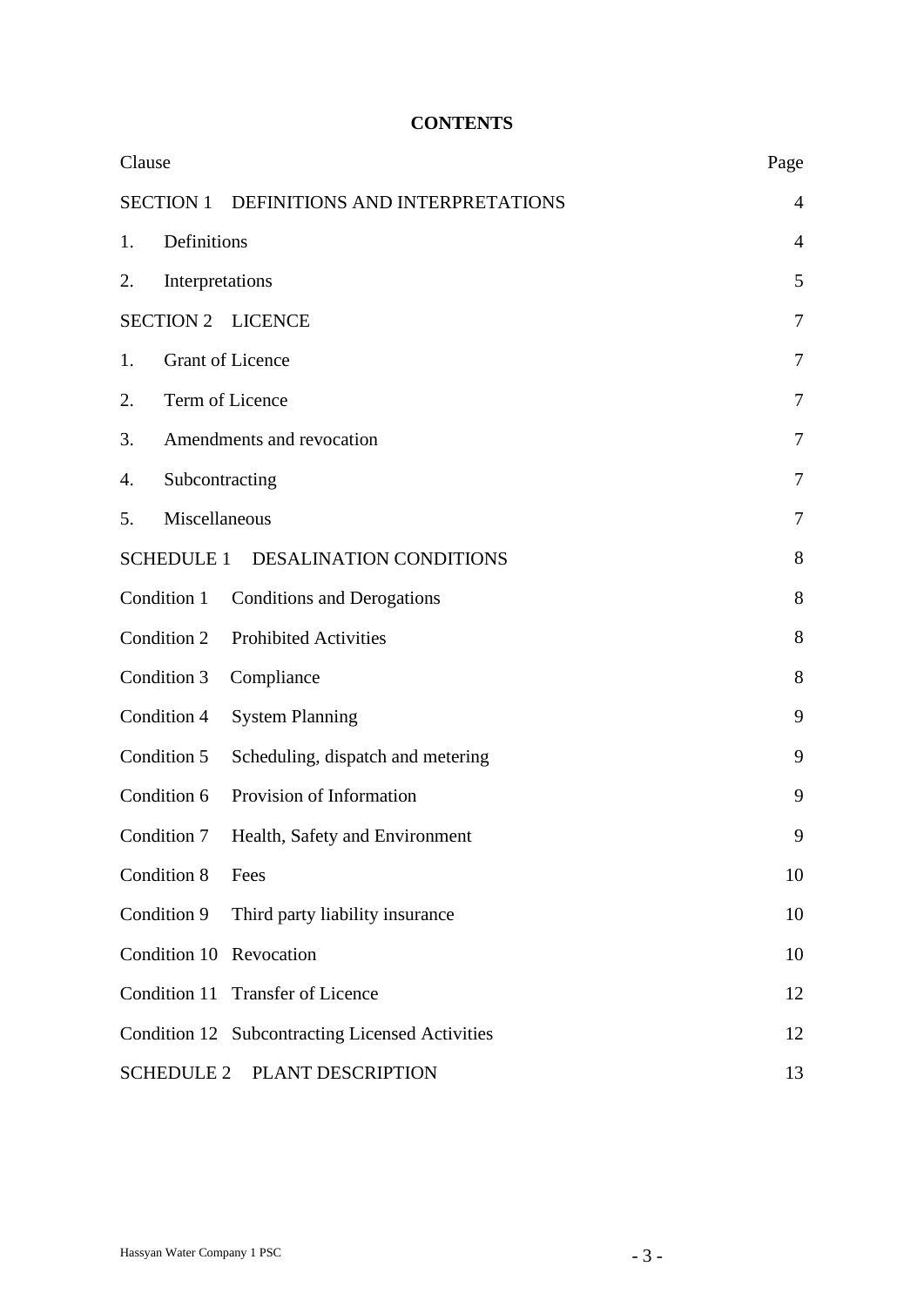## **CONTENTS**

| Clause                                              | Page           |
|-----------------------------------------------------|----------------|
| <b>SECTION 1</b><br>DEFINITIONS AND INTERPRETATIONS | 4              |
| Definitions<br>1.                                   | $\overline{4}$ |
| Interpretations<br>2.                               | 5              |
| <b>SECTION 2</b><br><b>LICENCE</b>                  | $\tau$         |
| <b>Grant of Licence</b><br>1.                       | 7              |
| Term of Licence<br>2.                               | $\tau$         |
| 3.<br>Amendments and revocation                     | 7              |
| Subcontracting<br>4.                                | 7              |
| Miscellaneous<br>5.                                 | 7              |
| SCHEDULE 1 DESALINATION CONDITIONS                  | 8              |
| Condition 1<br><b>Conditions and Derogations</b>    | 8              |
| Condition 2<br><b>Prohibited Activities</b>         | 8              |
| Condition 3<br>Compliance                           | 8              |
| Condition 4<br><b>System Planning</b>               | 9              |
| Condition 5<br>Scheduling, dispatch and metering    | 9              |
| Condition 6<br>Provision of Information             | 9              |
| Condition 7<br>Health, Safety and Environment       | 9              |
| Condition 8<br>Fees                                 | 10             |
| Condition 9<br>Third party liability insurance      | 10             |
| Condition 10 Revocation                             | 10             |
| Condition 11<br><b>Transfer of Licence</b>          | 12             |
| Condition 12 Subcontracting Licensed Activities     | 12             |
| <b>SCHEDULE 2</b><br>PLANT DESCRIPTION              | 13             |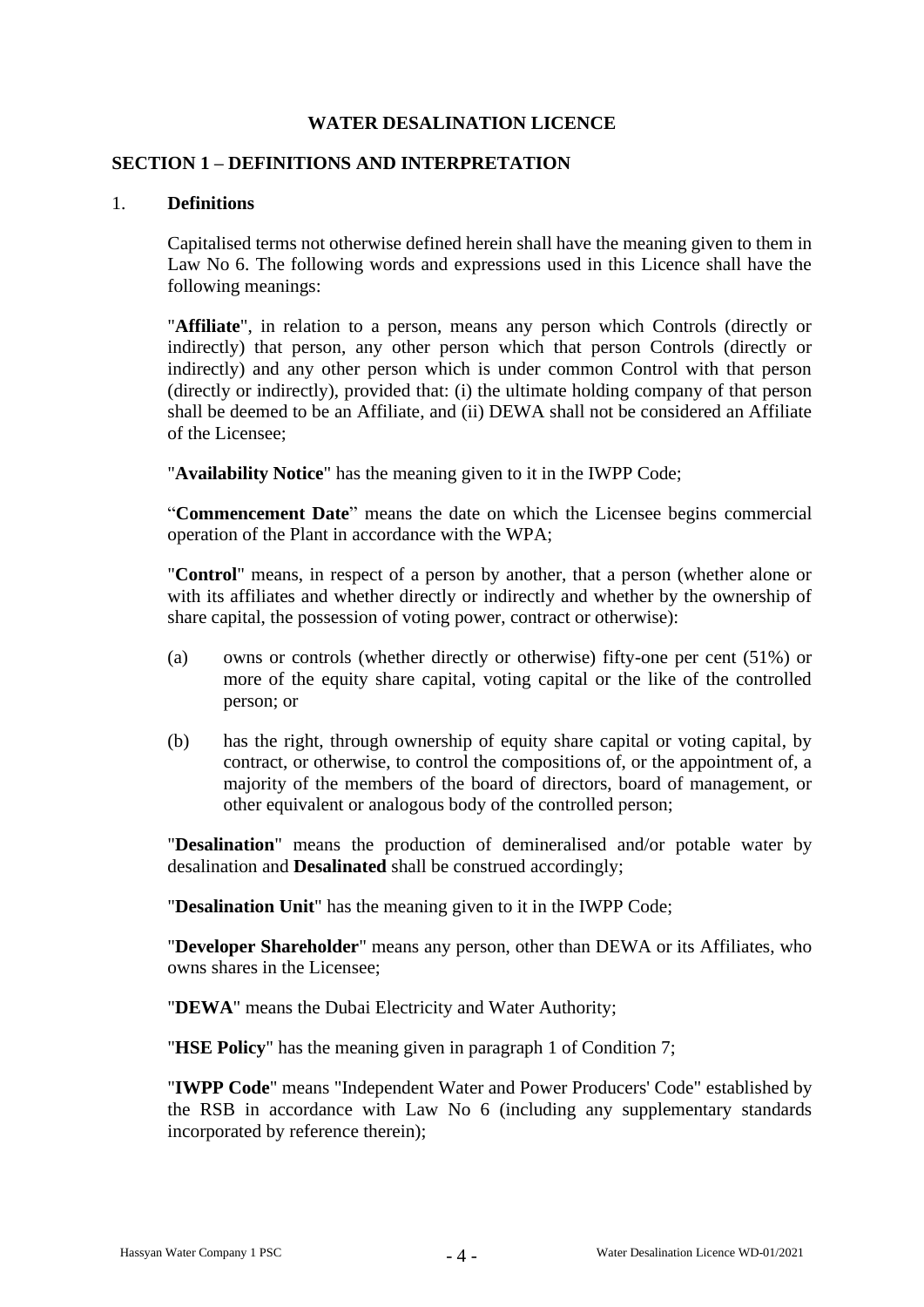### **WATER DESALINATION LICENCE**

#### **SECTION 1 – DEFINITIONS AND INTERPRETATION**

#### 1. **Definitions**

Capitalised terms not otherwise defined herein shall have the meaning given to them in Law No 6. The following words and expressions used in this Licence shall have the following meanings:

"**Affiliate**", in relation to a person, means any person which Controls (directly or indirectly) that person, any other person which that person Controls (directly or indirectly) and any other person which is under common Control with that person (directly or indirectly), provided that: (i) the ultimate holding company of that person shall be deemed to be an Affiliate, and (ii) DEWA shall not be considered an Affiliate of the Licensee;

"**Availability Notice**" has the meaning given to it in the IWPP Code;

"**Commencement Date**" means the date on which the Licensee begins commercial operation of the Plant in accordance with the WPA;

"**Control**" means, in respect of a person by another, that a person (whether alone or with its affiliates and whether directly or indirectly and whether by the ownership of share capital, the possession of voting power, contract or otherwise):

- (a) owns or controls (whether directly or otherwise) fifty-one per cent (51%) or more of the equity share capital, voting capital or the like of the controlled person; or
- (b) has the right, through ownership of equity share capital or voting capital, by contract, or otherwise, to control the compositions of, or the appointment of, a majority of the members of the board of directors, board of management, or other equivalent or analogous body of the controlled person;

"**Desalination**" means the production of demineralised and/or potable water by desalination and **Desalinated** shall be construed accordingly;

"**Desalination Unit**" has the meaning given to it in the IWPP Code;

"**Developer Shareholder**" means any person, other than DEWA or its Affiliates, who owns shares in the Licensee;

"**DEWA**" means the Dubai Electricity and Water Authority;

"**HSE Policy**" has the meaning given in paragraph 1 of Condition 7;

"**IWPP Code**" means "Independent Water and Power Producers' Code" established by the RSB in accordance with Law No 6 (including any supplementary standards incorporated by reference therein);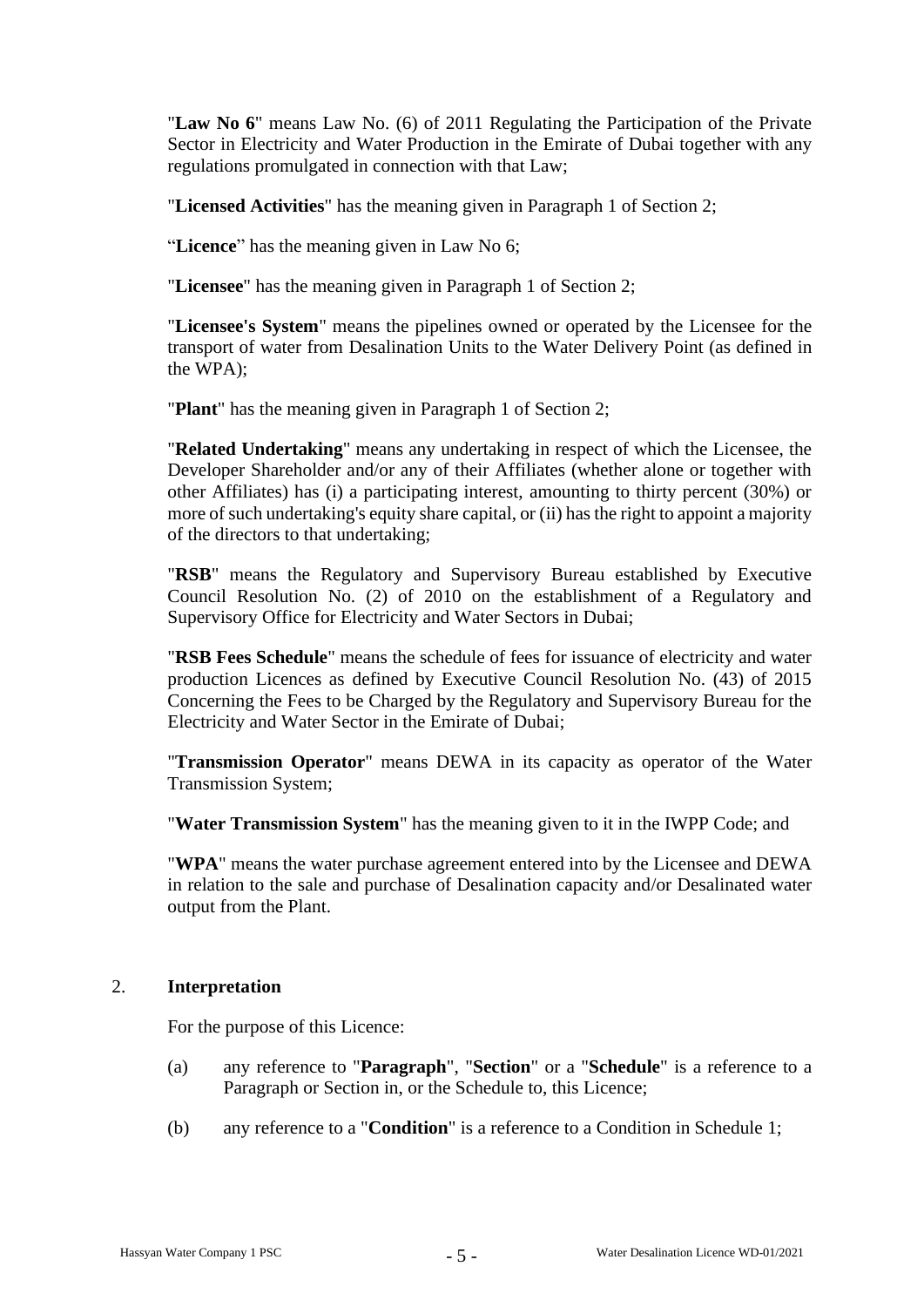"**Law No 6**" means Law No. (6) of 2011 Regulating the Participation of the Private Sector in Electricity and Water Production in the Emirate of Dubai together with any regulations promulgated in connection with that Law;

"**Licensed Activities**" has the meaning given in Paragraph 1 of Section 2;

"**Licence**" has the meaning given in Law No 6;

"**Licensee**" has the meaning given in Paragraph 1 of Section 2;

"**Licensee's System**" means the pipelines owned or operated by the Licensee for the transport of water from Desalination Units to the Water Delivery Point (as defined in the WPA);

"**Plant**" has the meaning given in Paragraph 1 of Section 2;

"**Related Undertaking**" means any undertaking in respect of which the Licensee, the Developer Shareholder and/or any of their Affiliates (whether alone or together with other Affiliates) has (i) a participating interest, amounting to thirty percent (30%) or more of such undertaking's equity share capital, or (ii) has the right to appoint a majority of the directors to that undertaking;

"**RSB**" means the Regulatory and Supervisory Bureau established by Executive Council Resolution No. (2) of 2010 on the establishment of a Regulatory and Supervisory Office for Electricity and Water Sectors in Dubai;

"**RSB Fees Schedule**" means the schedule of fees for issuance of electricity and water production Licences as defined by Executive Council Resolution No. (43) of 2015 Concerning the Fees to be Charged by the Regulatory and Supervisory Bureau for the Electricity and Water Sector in the Emirate of Dubai;

"**Transmission Operator**" means DEWA in its capacity as operator of the Water Transmission System;

"**Water Transmission System**" has the meaning given to it in the IWPP Code; and

"**WPA**" means the water purchase agreement entered into by the Licensee and DEWA in relation to the sale and purchase of Desalination capacity and/or Desalinated water output from the Plant.

#### 2. **Interpretation**

For the purpose of this Licence:

- (a) any reference to "**Paragraph**", "**Section**" or a "**Schedule**" is a reference to a Paragraph or Section in, or the Schedule to, this Licence;
- (b) any reference to a "**Condition**" is a reference to a Condition in Schedule 1;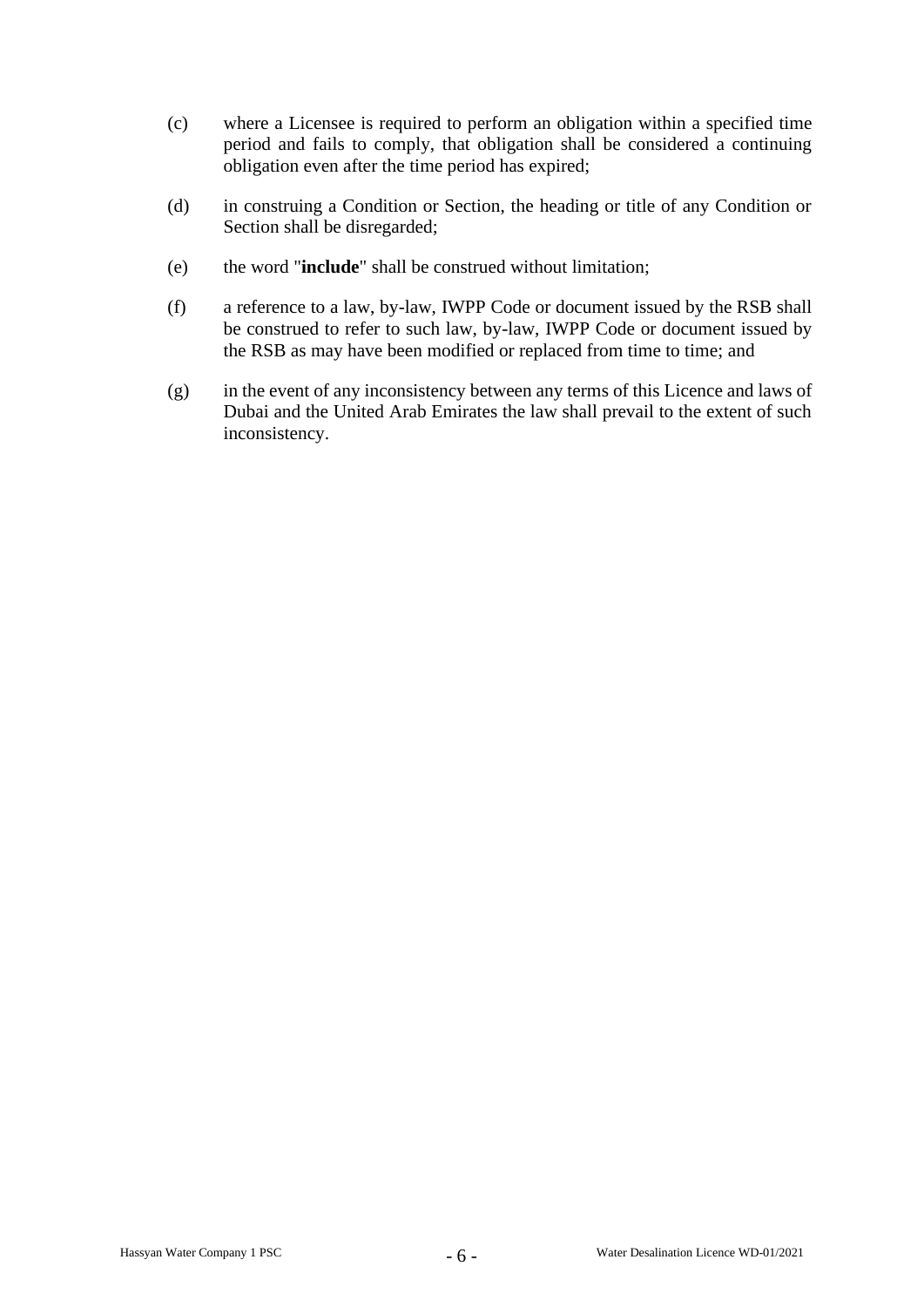- (c) where a Licensee is required to perform an obligation within a specified time period and fails to comply, that obligation shall be considered a continuing obligation even after the time period has expired;
- (d) in construing a Condition or Section, the heading or title of any Condition or Section shall be disregarded;
- (e) the word "**include**" shall be construed without limitation;
- (f) a reference to a law, by-law, IWPP Code or document issued by the RSB shall be construed to refer to such law, by-law, IWPP Code or document issued by the RSB as may have been modified or replaced from time to time; and
- (g) in the event of any inconsistency between any terms of this Licence and laws of Dubai and the United Arab Emirates the law shall prevail to the extent of such inconsistency.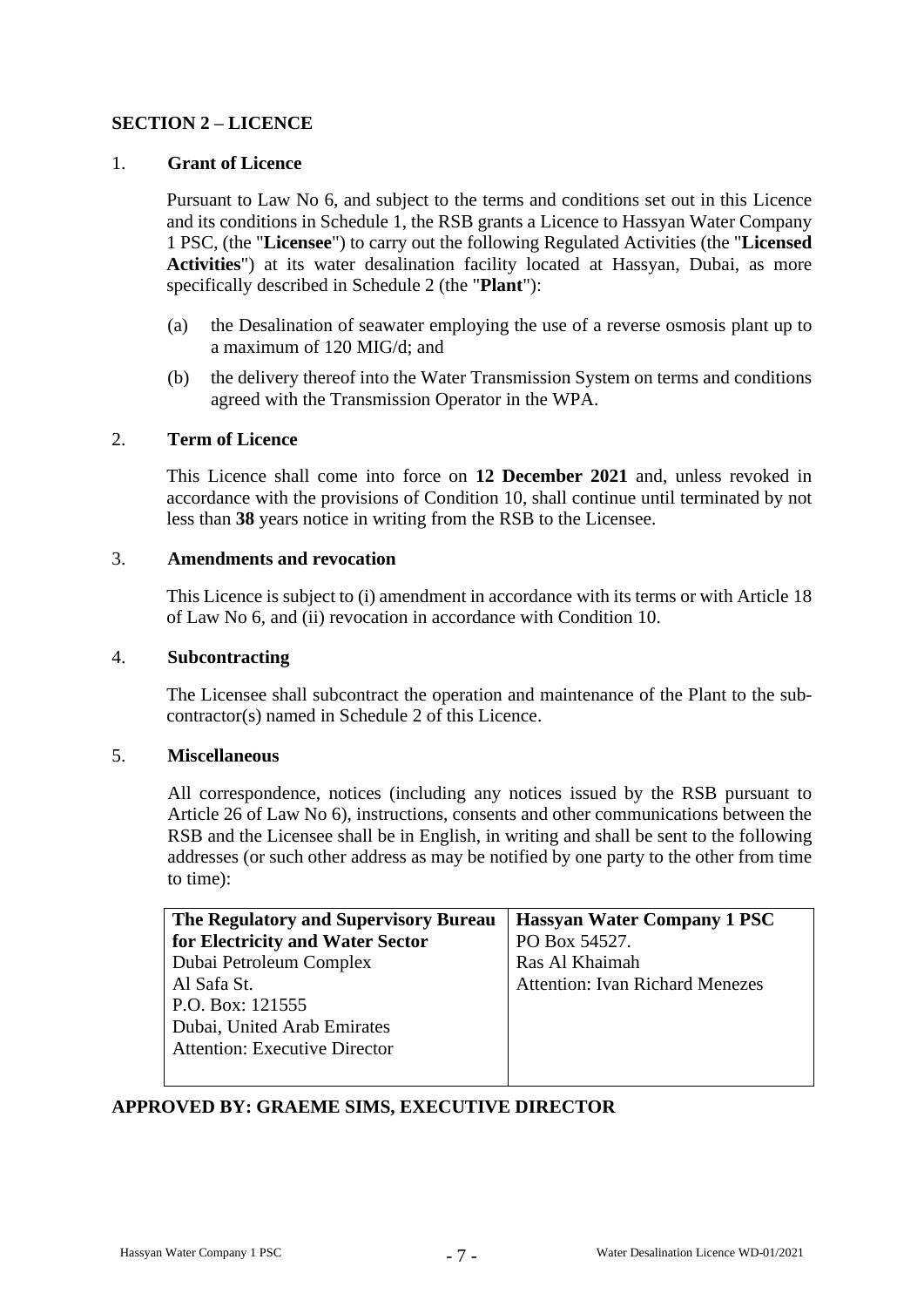## **SECTION 2 – LICENCE**

## 1. **Grant of Licence**

Pursuant to Law No 6, and subject to the terms and conditions set out in this Licence and its conditions in Schedule 1, the RSB grants a Licence to Hassyan Water Company 1 PSC, (the "**Licensee**") to carry out the following Regulated Activities (the "**Licensed Activities**") at its water desalination facility located at Hassyan, Dubai, as more specifically described in Schedule 2 (the "**Plant**"):

- (a) the Desalination of seawater employing the use of a reverse osmosis plant up to a maximum of 120 MIG/d; and
- (b) the delivery thereof into the Water Transmission System on terms and conditions agreed with the Transmission Operator in the WPA.

#### 2. **Term of Licence**

This Licence shall come into force on **12 December 2021** and, unless revoked in accordance with the provisions of Condition 10, shall continue until terminated by not less than **38** years notice in writing from the RSB to the Licensee.

#### 3. **Amendments and revocation**

This Licence is subject to (i) amendment in accordance with its terms or with Article 18 of Law No 6, and (ii) revocation in accordance with Condition 10.

#### 4. **Subcontracting**

The Licensee shall subcontract the operation and maintenance of the Plant to the subcontractor(s) named in Schedule 2 of this Licence.

#### 5. **Miscellaneous**

All correspondence, notices (including any notices issued by the RSB pursuant to Article 26 of Law No 6), instructions, consents and other communications between the RSB and the Licensee shall be in English, in writing and shall be sent to the following addresses (or such other address as may be notified by one party to the other from time to time):

| The Regulatory and Supervisory Bureau | <b>Hassyan Water Company 1 PSC</b>     |  |  |
|---------------------------------------|----------------------------------------|--|--|
| for Electricity and Water Sector      | PO Box 54527.                          |  |  |
| Dubai Petroleum Complex               | Ras Al Khaimah                         |  |  |
| Al Safa St.                           | <b>Attention: Ivan Richard Menezes</b> |  |  |
| P.O. Box: 121555                      |                                        |  |  |
| Dubai, United Arab Emirates           |                                        |  |  |
| <b>Attention: Executive Director</b>  |                                        |  |  |
|                                       |                                        |  |  |

## **APPROVED BY: GRAEME SIMS, EXECUTIVE DIRECTOR**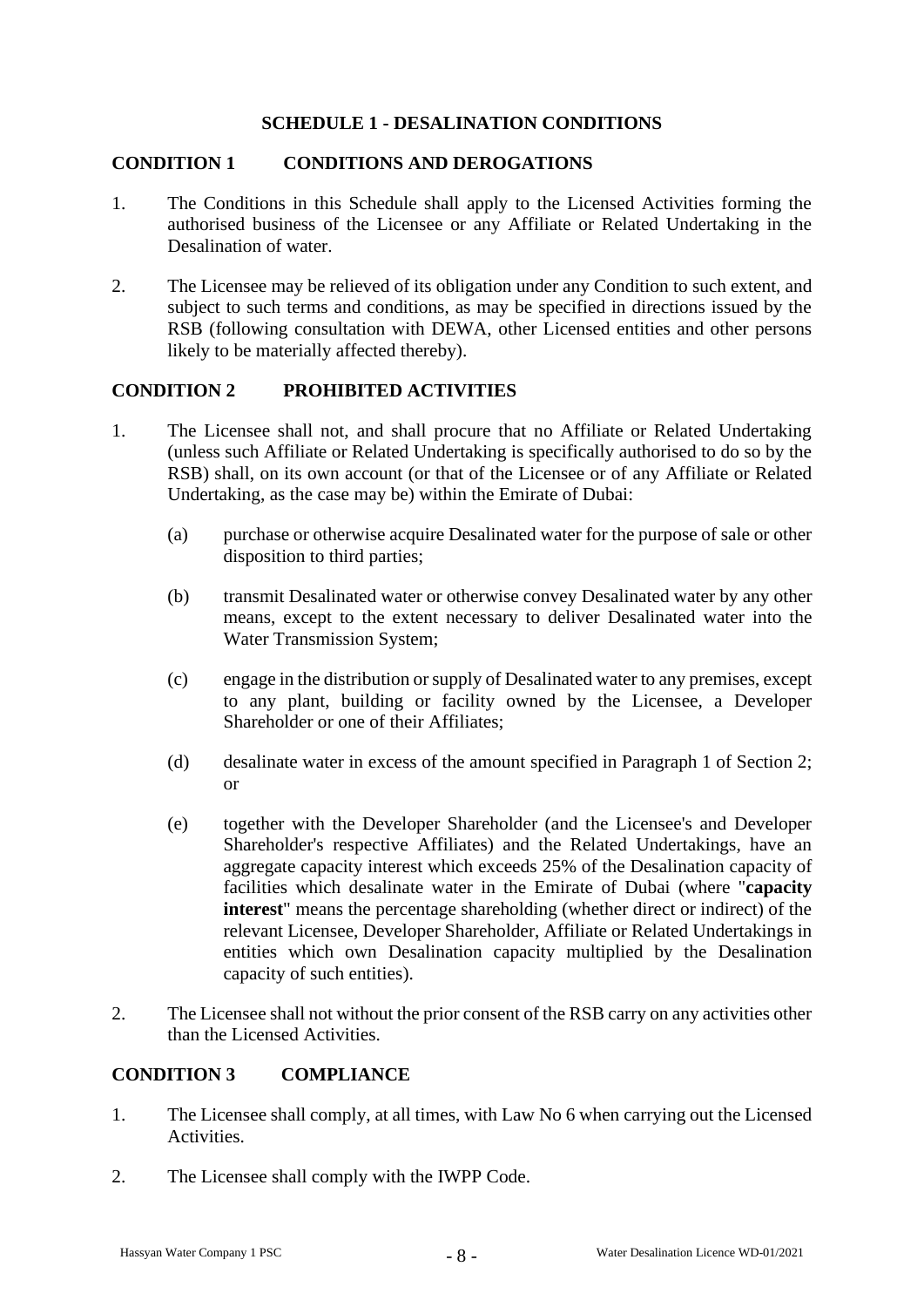## **SCHEDULE 1 - DESALINATION CONDITIONS**

#### **CONDITION 1 CONDITIONS AND DEROGATIONS**

- 1. The Conditions in this Schedule shall apply to the Licensed Activities forming the authorised business of the Licensee or any Affiliate or Related Undertaking in the Desalination of water.
- 2. The Licensee may be relieved of its obligation under any Condition to such extent, and subject to such terms and conditions, as may be specified in directions issued by the RSB (following consultation with DEWA, other Licensed entities and other persons likely to be materially affected thereby).

#### **CONDITION 2 PROHIBITED ACTIVITIES**

- 1. The Licensee shall not, and shall procure that no Affiliate or Related Undertaking (unless such Affiliate or Related Undertaking is specifically authorised to do so by the RSB) shall, on its own account (or that of the Licensee or of any Affiliate or Related Undertaking, as the case may be) within the Emirate of Dubai:
	- (a) purchase or otherwise acquire Desalinated water for the purpose of sale or other disposition to third parties;
	- (b) transmit Desalinated water or otherwise convey Desalinated water by any other means, except to the extent necessary to deliver Desalinated water into the Water Transmission System;
	- (c) engage in the distribution or supply of Desalinated water to any premises, except to any plant, building or facility owned by the Licensee, a Developer Shareholder or one of their Affiliates;
	- (d) desalinate water in excess of the amount specified in Paragraph 1 of Section 2; or
	- (e) together with the Developer Shareholder (and the Licensee's and Developer Shareholder's respective Affiliates) and the Related Undertakings, have an aggregate capacity interest which exceeds 25% of the Desalination capacity of facilities which desalinate water in the Emirate of Dubai (where "**capacity interest**" means the percentage shareholding (whether direct or indirect) of the relevant Licensee, Developer Shareholder, Affiliate or Related Undertakings in entities which own Desalination capacity multiplied by the Desalination capacity of such entities).
- 2. The Licensee shall not without the prior consent of the RSB carry on any activities other than the Licensed Activities.

#### **CONDITION 3 COMPLIANCE**

- 1. The Licensee shall comply, at all times, with Law No 6 when carrying out the Licensed Activities.
- 2. The Licensee shall comply with the IWPP Code.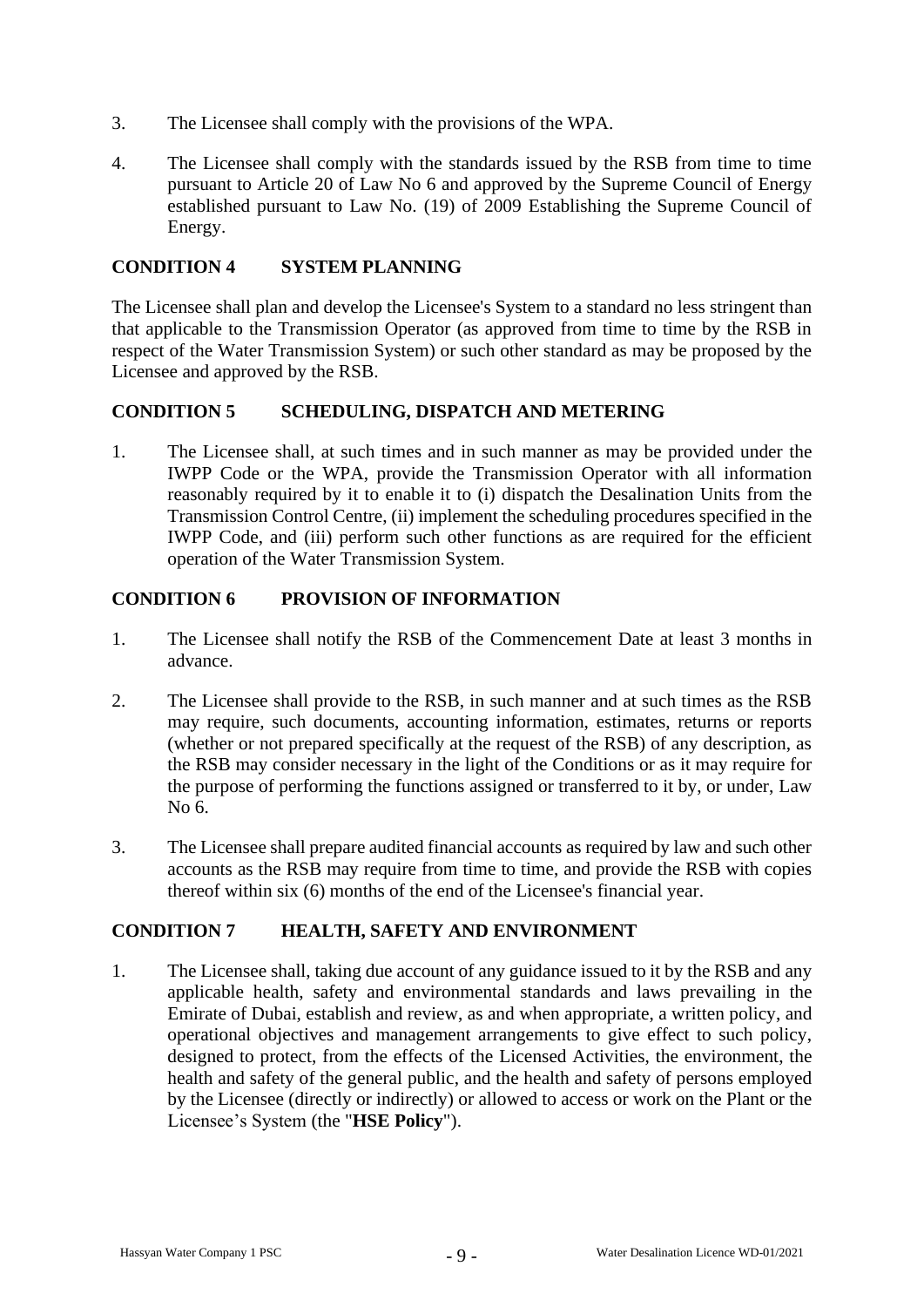- 3. The Licensee shall comply with the provisions of the WPA.
- 4. The Licensee shall comply with the standards issued by the RSB from time to time pursuant to Article 20 of Law No 6 and approved by the Supreme Council of Energy established pursuant to Law No. (19) of 2009 Establishing the Supreme Council of Energy.

### **CONDITION 4 SYSTEM PLANNING**

The Licensee shall plan and develop the Licensee's System to a standard no less stringent than that applicable to the Transmission Operator (as approved from time to time by the RSB in respect of the Water Transmission System) or such other standard as may be proposed by the Licensee and approved by the RSB.

### **CONDITION 5 SCHEDULING, DISPATCH AND METERING**

1. The Licensee shall, at such times and in such manner as may be provided under the IWPP Code or the WPA, provide the Transmission Operator with all information reasonably required by it to enable it to (i) dispatch the Desalination Units from the Transmission Control Centre, (ii) implement the scheduling procedures specified in the IWPP Code, and (iii) perform such other functions as are required for the efficient operation of the Water Transmission System.

## **CONDITION 6 PROVISION OF INFORMATION**

- 1. The Licensee shall notify the RSB of the Commencement Date at least 3 months in advance.
- 2. The Licensee shall provide to the RSB, in such manner and at such times as the RSB may require, such documents, accounting information, estimates, returns or reports (whether or not prepared specifically at the request of the RSB) of any description, as the RSB may consider necessary in the light of the Conditions or as it may require for the purpose of performing the functions assigned or transferred to it by, or under, Law No 6.
- 3. The Licensee shall prepare audited financial accounts as required by law and such other accounts as the RSB may require from time to time, and provide the RSB with copies thereof within six (6) months of the end of the Licensee's financial year.

#### **CONDITION 7 HEALTH, SAFETY AND ENVIRONMENT**

1. The Licensee shall, taking due account of any guidance issued to it by the RSB and any applicable health, safety and environmental standards and laws prevailing in the Emirate of Dubai, establish and review, as and when appropriate, a written policy, and operational objectives and management arrangements to give effect to such policy, designed to protect, from the effects of the Licensed Activities, the environment, the health and safety of the general public, and the health and safety of persons employed by the Licensee (directly or indirectly) or allowed to access or work on the Plant or the Licensee's System (the "**HSE Policy**").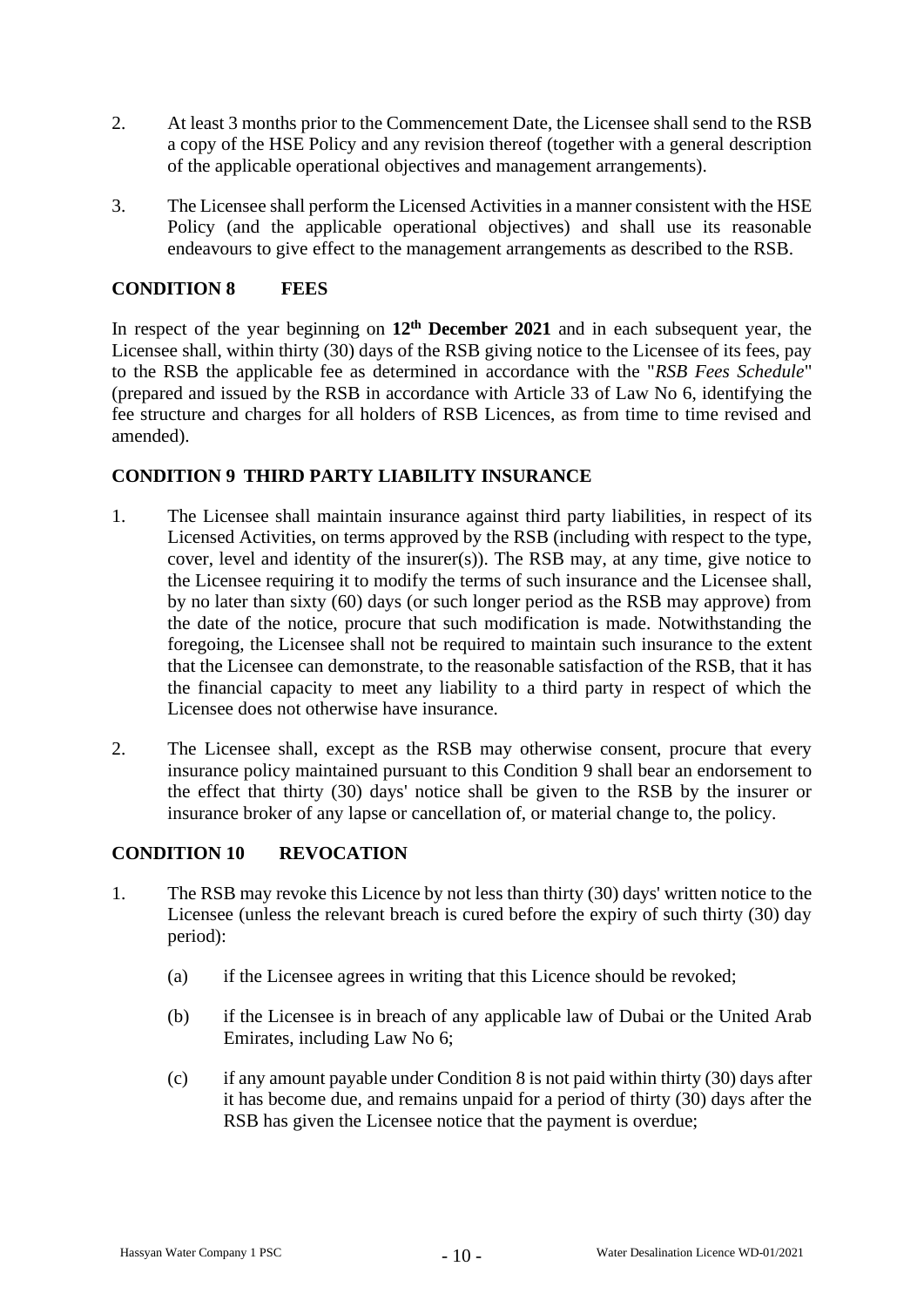- 2. At least 3 months prior to the Commencement Date, the Licensee shall send to the RSB a copy of the HSE Policy and any revision thereof (together with a general description of the applicable operational objectives and management arrangements).
- 3. The Licensee shall perform the Licensed Activities in a manner consistent with the HSE Policy (and the applicable operational objectives) and shall use its reasonable endeavours to give effect to the management arrangements as described to the RSB.

### **CONDITION 8 FEES**

In respect of the year beginning on **12th December 2021** and in each subsequent year, the Licensee shall, within thirty (30) days of the RSB giving notice to the Licensee of its fees, pay to the RSB the applicable fee as determined in accordance with the "*RSB Fees Schedule*" (prepared and issued by the RSB in accordance with Article 33 of Law No 6, identifying the fee structure and charges for all holders of RSB Licences, as from time to time revised and amended).

### **CONDITION 9 THIRD PARTY LIABILITY INSURANCE**

- 1. The Licensee shall maintain insurance against third party liabilities, in respect of its Licensed Activities, on terms approved by the RSB (including with respect to the type, cover, level and identity of the insurer(s)). The RSB may, at any time, give notice to the Licensee requiring it to modify the terms of such insurance and the Licensee shall, by no later than sixty (60) days (or such longer period as the RSB may approve) from the date of the notice, procure that such modification is made. Notwithstanding the foregoing, the Licensee shall not be required to maintain such insurance to the extent that the Licensee can demonstrate, to the reasonable satisfaction of the RSB, that it has the financial capacity to meet any liability to a third party in respect of which the Licensee does not otherwise have insurance.
- 2. The Licensee shall, except as the RSB may otherwise consent, procure that every insurance policy maintained pursuant to this Condition 9 shall bear an endorsement to the effect that thirty (30) days' notice shall be given to the RSB by the insurer or insurance broker of any lapse or cancellation of, or material change to, the policy.

## **CONDITION 10 REVOCATION**

- 1. The RSB may revoke this Licence by not less than thirty (30) days' written notice to the Licensee (unless the relevant breach is cured before the expiry of such thirty (30) day period):
	- (a) if the Licensee agrees in writing that this Licence should be revoked;
	- (b) if the Licensee is in breach of any applicable law of Dubai or the United Arab Emirates, including Law No 6;
	- (c) if any amount payable under Condition 8 is not paid within thirty (30) days after it has become due, and remains unpaid for a period of thirty (30) days after the RSB has given the Licensee notice that the payment is overdue;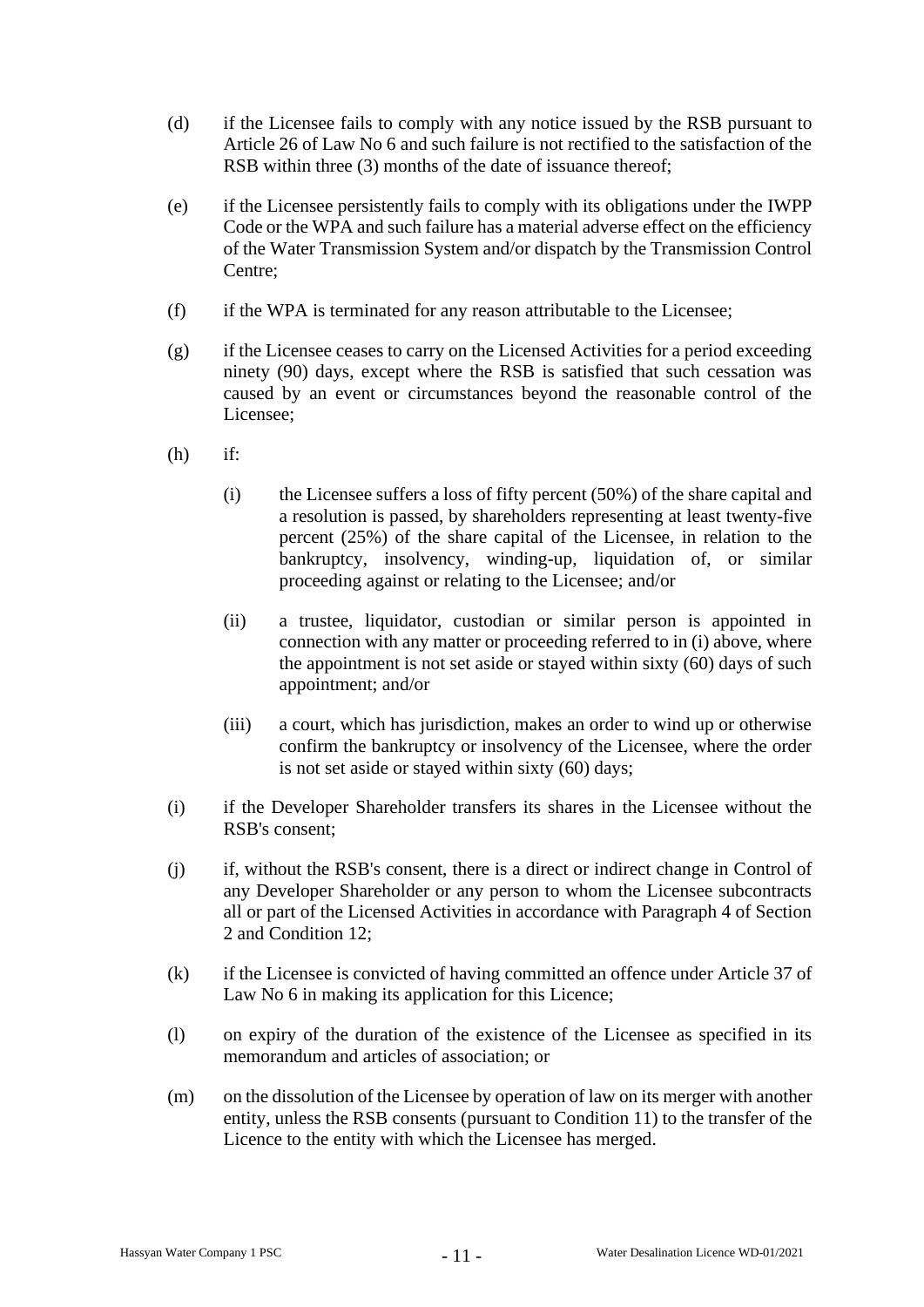- (d) if the Licensee fails to comply with any notice issued by the RSB pursuant to Article 26 of Law No 6 and such failure is not rectified to the satisfaction of the RSB within three (3) months of the date of issuance thereof:
- (e) if the Licensee persistently fails to comply with its obligations under the IWPP Code or the WPA and such failure has a material adverse effect on the efficiency of the Water Transmission System and/or dispatch by the Transmission Control Centre;
- (f) if the WPA is terminated for any reason attributable to the Licensee;
- (g) if the Licensee ceases to carry on the Licensed Activities for a period exceeding ninety (90) days, except where the RSB is satisfied that such cessation was caused by an event or circumstances beyond the reasonable control of the Licensee;
- (h) if:
	- (i) the Licensee suffers a loss of fifty percent (50%) of the share capital and a resolution is passed, by shareholders representing at least twenty-five percent (25%) of the share capital of the Licensee, in relation to the bankruptcy, insolvency, winding-up, liquidation of, or similar proceeding against or relating to the Licensee; and/or
	- (ii) a trustee, liquidator, custodian or similar person is appointed in connection with any matter or proceeding referred to in (i) above, where the appointment is not set aside or stayed within sixty (60) days of such appointment; and/or
	- (iii) a court, which has jurisdiction, makes an order to wind up or otherwise confirm the bankruptcy or insolvency of the Licensee, where the order is not set aside or stayed within sixty (60) days;
- (i) if the Developer Shareholder transfers its shares in the Licensee without the RSB's consent;
- (j) if, without the RSB's consent, there is a direct or indirect change in Control of any Developer Shareholder or any person to whom the Licensee subcontracts all or part of the Licensed Activities in accordance with Paragraph 4 of Section 2 and Condition 12;
- (k) if the Licensee is convicted of having committed an offence under Article 37 of Law No 6 in making its application for this Licence;
- (l) on expiry of the duration of the existence of the Licensee as specified in its memorandum and articles of association; or
- (m) on the dissolution of the Licensee by operation of law on its merger with another entity, unless the RSB consents (pursuant to Condition 11) to the transfer of the Licence to the entity with which the Licensee has merged.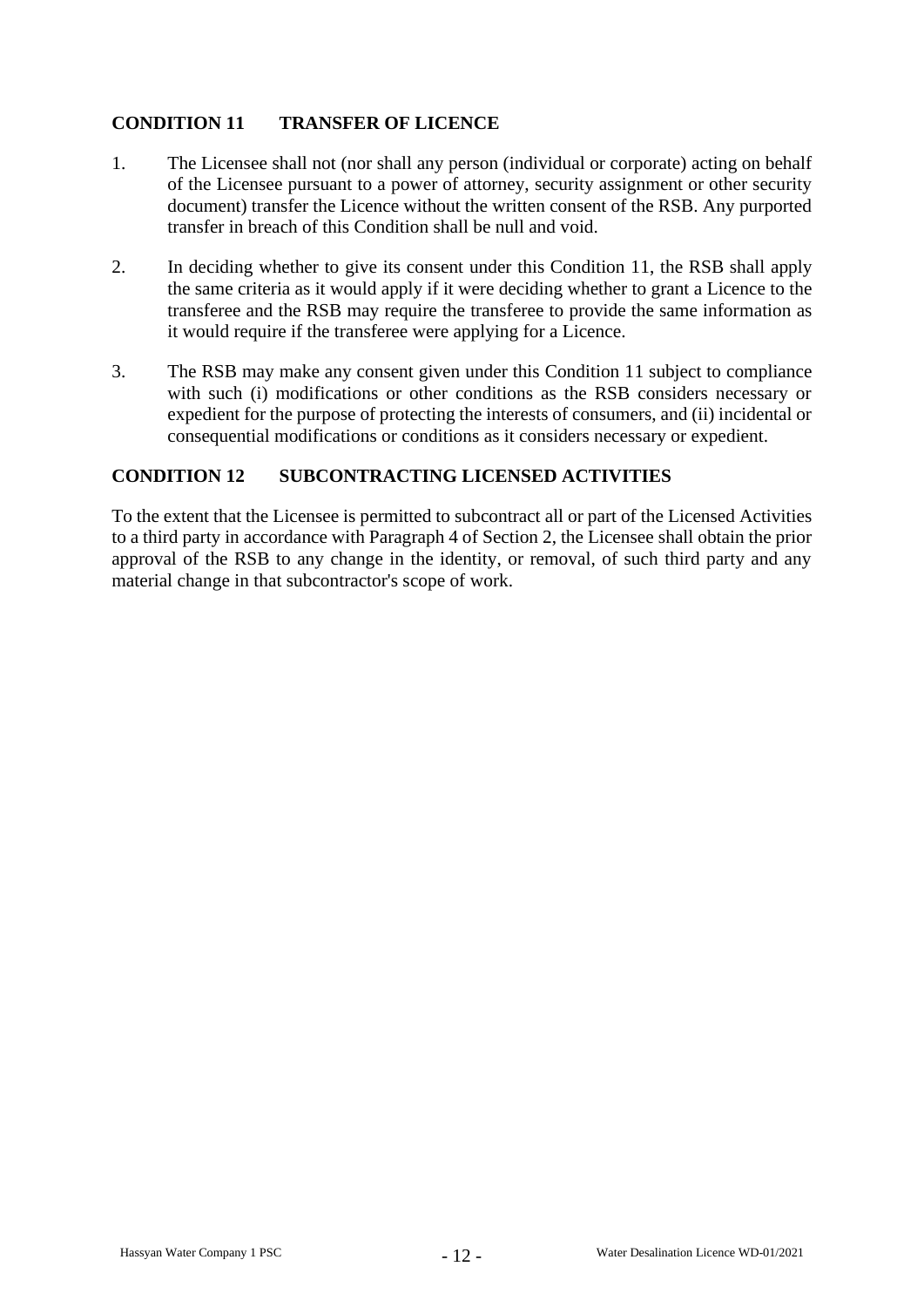## **CONDITION 11 TRANSFER OF LICENCE**

- 1. The Licensee shall not (nor shall any person (individual or corporate) acting on behalf of the Licensee pursuant to a power of attorney, security assignment or other security document) transfer the Licence without the written consent of the RSB. Any purported transfer in breach of this Condition shall be null and void.
- 2. In deciding whether to give its consent under this Condition 11, the RSB shall apply the same criteria as it would apply if it were deciding whether to grant a Licence to the transferee and the RSB may require the transferee to provide the same information as it would require if the transferee were applying for a Licence.
- 3. The RSB may make any consent given under this Condition 11 subject to compliance with such (i) modifications or other conditions as the RSB considers necessary or expedient for the purpose of protecting the interests of consumers, and (ii) incidental or consequential modifications or conditions as it considers necessary or expedient.

## **CONDITION 12 SUBCONTRACTING LICENSED ACTIVITIES**

To the extent that the Licensee is permitted to subcontract all or part of the Licensed Activities to a third party in accordance with Paragraph 4 of Section 2, the Licensee shall obtain the prior approval of the RSB to any change in the identity, or removal, of such third party and any material change in that subcontractor's scope of work.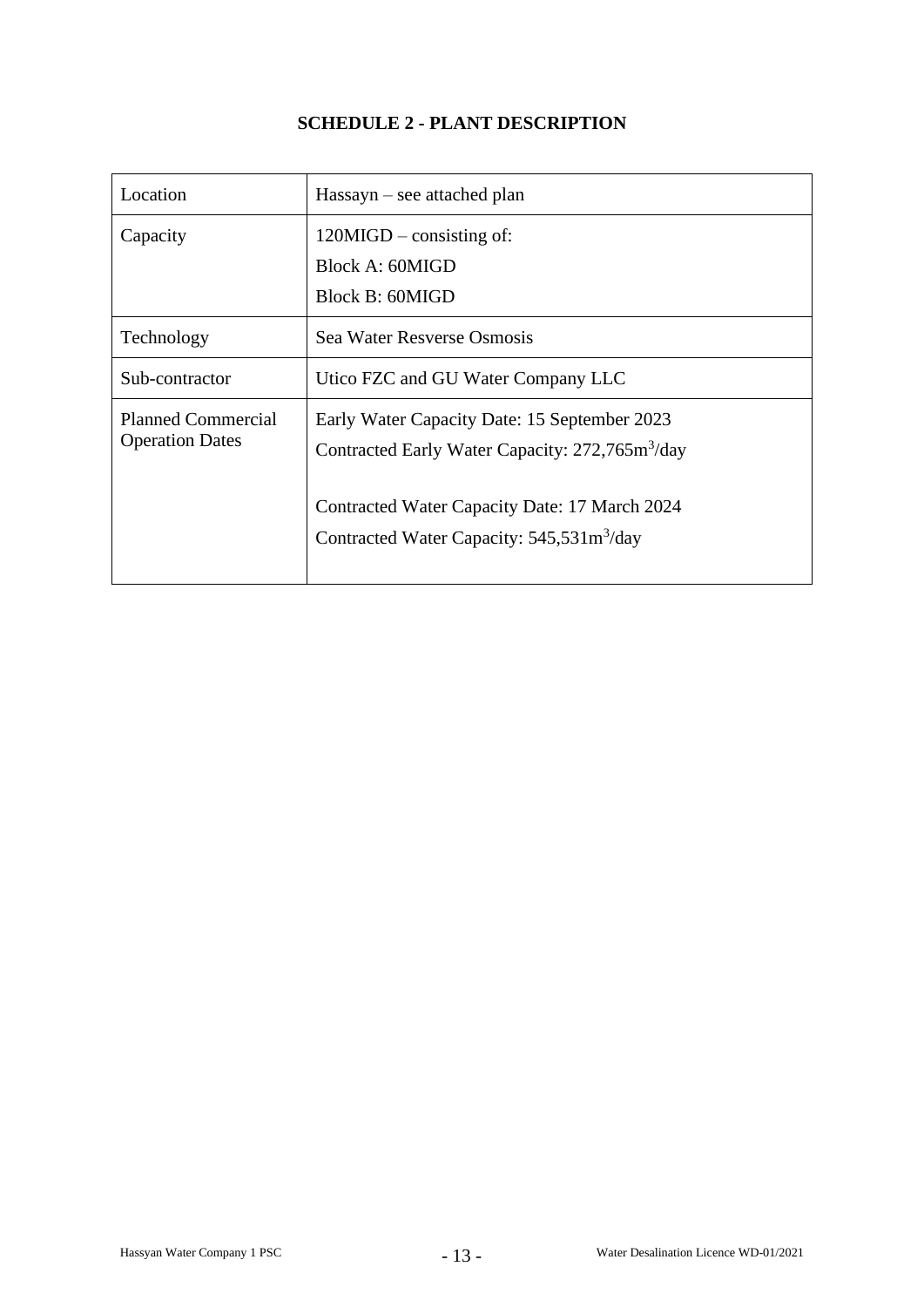## **SCHEDULE 2 - PLANT DESCRIPTION**

| Location                                            | $Hassayn - see attached plan$                                                                                                                                                                                              |  |  |
|-----------------------------------------------------|----------------------------------------------------------------------------------------------------------------------------------------------------------------------------------------------------------------------------|--|--|
| Capacity                                            | $120MIGD$ – consisting of:<br>Block A: 60MIGD<br>Block B: 60MIGD                                                                                                                                                           |  |  |
| Technology                                          | Sea Water Resverse Osmosis                                                                                                                                                                                                 |  |  |
| Sub-contractor                                      | Utico FZC and GU Water Company LLC                                                                                                                                                                                         |  |  |
| <b>Planned Commercial</b><br><b>Operation Dates</b> | Early Water Capacity Date: 15 September 2023<br>Contracted Early Water Capacity: 272,765m <sup>3</sup> /day<br>Contracted Water Capacity Date: 17 March 2024<br>Contracted Water Capacity: $545,531 \text{m}^3/\text{day}$ |  |  |
|                                                     |                                                                                                                                                                                                                            |  |  |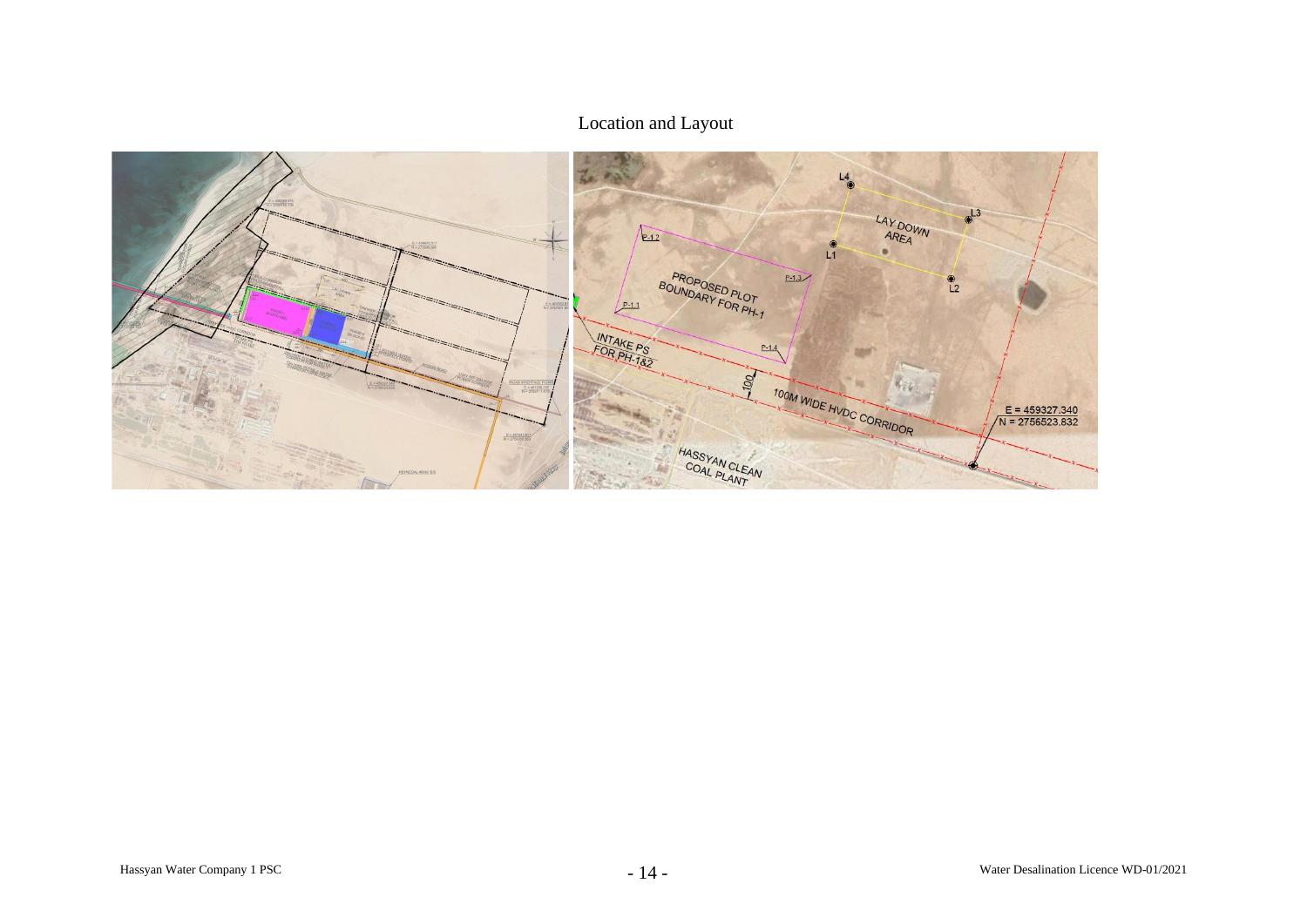## Location and Layout